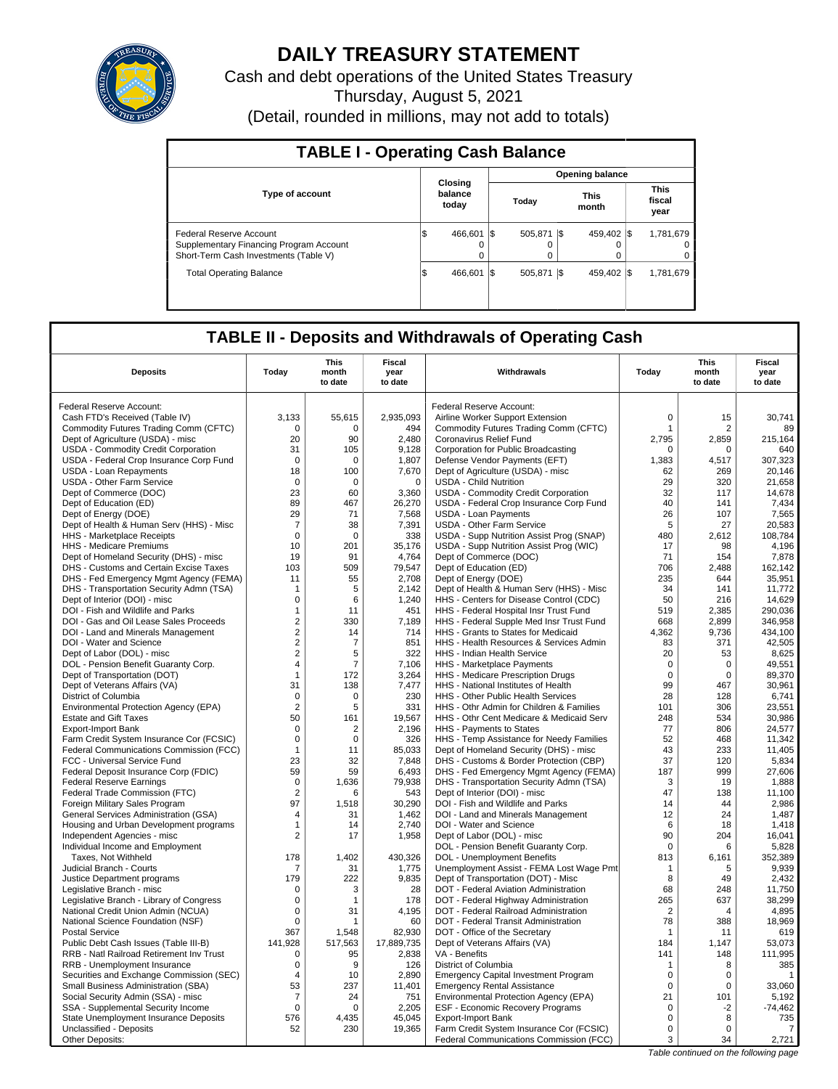

## **DAILY TREASURY STATEMENT**

Cash and debt operations of the United States Treasury Thursday, August 5, 2021

(Detail, rounded in millions, may not add to totals)

| <b>TABLE I - Operating Cash Balance</b>                                                                     |                             |                          |                        |                               |  |  |  |  |  |  |
|-------------------------------------------------------------------------------------------------------------|-----------------------------|--------------------------|------------------------|-------------------------------|--|--|--|--|--|--|
|                                                                                                             |                             |                          | <b>Opening balance</b> |                               |  |  |  |  |  |  |
| <b>Type of account</b>                                                                                      | Closing<br>balance<br>today | Today                    | <b>This</b><br>month   | <b>This</b><br>fiscal<br>year |  |  |  |  |  |  |
| Federal Reserve Account<br>Supplementary Financing Program Account<br>Short-Term Cash Investments (Table V) | l\$<br>466.601<br>$\Omega$  | I\$<br>505.871<br>0<br>0 | 459.402 \\$<br>-15     | 1,781,679<br>0<br>0           |  |  |  |  |  |  |
| <b>Total Operating Balance</b>                                                                              | 1\$<br>466.601              | I\$<br>505.871           | 459.402 \\$<br>I\$     | 1,781,679                     |  |  |  |  |  |  |

## **TABLE II - Deposits and Withdrawals of Operating Cash**

| <b>Deposits</b>                                                           | Today                   | <b>This</b><br>month<br>to date | <b>Fiscal</b><br>year<br>to date | Withdrawals                                                                      | Today                   | <b>This</b><br>month<br>to date | Fiscal<br>year<br>to date |  |
|---------------------------------------------------------------------------|-------------------------|---------------------------------|----------------------------------|----------------------------------------------------------------------------------|-------------------------|---------------------------------|---------------------------|--|
| Federal Reserve Account:                                                  |                         |                                 |                                  | Federal Reserve Account:                                                         |                         |                                 |                           |  |
| Cash FTD's Received (Table IV)                                            | 3,133                   | 55,615                          | 2,935,093                        | Airline Worker Support Extension                                                 | $\mathsf 0$             | 15                              | 30,741                    |  |
| Commodity Futures Trading Comm (CFTC)                                     | $\mathbf 0$             | $\Omega$                        | 494                              | Commodity Futures Trading Comm (CFTC)                                            | $\mathbf{1}$            | 2                               | 89                        |  |
| Dept of Agriculture (USDA) - misc                                         | 20                      | 90                              | 2.480                            | Coronavirus Relief Fund                                                          | 2,795                   | 2,859                           | 215,164                   |  |
| USDA - Commodity Credit Corporation                                       | 31                      | 105                             | 9,128                            | Corporation for Public Broadcasting                                              | $\mathbf 0$             | $\mathbf 0$                     | 640                       |  |
| USDA - Federal Crop Insurance Corp Fund                                   | $\mathbf 0$             | 0                               | 1,807                            | Defense Vendor Payments (EFT)                                                    | 1,383                   | 4,517                           | 307,323                   |  |
| USDA - Loan Repayments                                                    | 18                      | 100                             | 7,670                            | Dept of Agriculture (USDA) - misc                                                | 62                      | 269                             | 20,146                    |  |
| USDA - Other Farm Service                                                 | $\mathbf 0$             | $\mathbf 0$                     | $\mathbf 0$                      | <b>USDA - Child Nutrition</b>                                                    | 29                      | 320                             | 21,658                    |  |
| Dept of Commerce (DOC)                                                    | 23                      | 60                              | 3,360                            | USDA - Commodity Credit Corporation                                              | 32                      | 117                             | 14.678                    |  |
| Dept of Education (ED)                                                    | 89                      | 467                             | 26,270                           | USDA - Federal Crop Insurance Corp Fund                                          | 40                      | 141                             | 7,434                     |  |
| Dept of Energy (DOE)                                                      | 29                      | 71                              | 7,568                            | <b>USDA - Loan Payments</b>                                                      | 26                      | 107                             | 7,565                     |  |
| Dept of Health & Human Serv (HHS) - Misc                                  | $\overline{7}$          | 38                              | 7,391                            | USDA - Other Farm Service                                                        | 5                       | 27                              | 20,583                    |  |
| <b>HHS</b> - Marketplace Receipts                                         | $\Omega$                | $\Omega$                        | 338                              | USDA - Supp Nutrition Assist Prog (SNAP)                                         | 480                     | 2,612                           | 108.784                   |  |
| HHS - Medicare Premiums                                                   | 10                      | 201                             | 35,176                           | USDA - Supp Nutrition Assist Prog (WIC)                                          | 17                      | 98                              | 4,196                     |  |
| Dept of Homeland Security (DHS) - misc                                    | 19                      | 91                              | 4,764                            | Dept of Commerce (DOC)                                                           | 71                      | 154                             | 7,878                     |  |
| DHS - Customs and Certain Excise Taxes                                    | 103                     | 509                             | 79,547                           | Dept of Education (ED)                                                           | 706                     | 2,488                           | 162,142                   |  |
| DHS - Fed Emergency Mgmt Agency (FEMA)                                    | 11                      | 55                              | 2,708                            | Dept of Energy (DOE)                                                             | 235                     | 644                             | 35,951                    |  |
| DHS - Transportation Security Admn (TSA)                                  | $\mathbf{1}$            | 5                               | 2,142                            | Dept of Health & Human Serv (HHS) - Misc                                         | 34                      | 141                             | 11,772                    |  |
| Dept of Interior (DOI) - misc                                             | $\mathbf 0$             | 6                               | 1,240                            | HHS - Centers for Disease Control (CDC)                                          | 50                      | 216                             | 14,629                    |  |
| DOI - Fish and Wildlife and Parks                                         | 1                       | 11                              | 451                              | HHS - Federal Hospital Insr Trust Fund                                           | 519                     | 2,385                           | 290,036                   |  |
| DOI - Gas and Oil Lease Sales Proceeds                                    | $\overline{2}$          | 330                             | 7,189                            | HHS - Federal Supple Med Insr Trust Fund                                         | 668                     | 2,899                           | 346,958                   |  |
| DOI - Land and Minerals Management                                        | $\overline{\mathbf{c}}$ | 14                              | 714                              | HHS - Grants to States for Medicaid                                              | 4,362                   | 9,736                           | 434,100                   |  |
| DOI - Water and Science                                                   | $\overline{2}$          | 7                               | 851                              | HHS - Health Resources & Services Admin                                          | 83                      | 371                             | 42,505                    |  |
| Dept of Labor (DOL) - misc                                                | $\overline{2}$          | 5                               | 322                              | HHS - Indian Health Service                                                      | 20                      | 53                              | 8,625                     |  |
| DOL - Pension Benefit Guaranty Corp.                                      | $\overline{4}$          | $\overline{7}$                  | 7,106                            | HHS - Marketplace Payments                                                       | $\mathbf 0$             | $\mathbf 0$                     | 49,551                    |  |
| Dept of Transportation (DOT)                                              | $\mathbf{1}$            | 172                             | 3,264                            | HHS - Medicare Prescription Drugs                                                | $\mathsf 0$             | $\pmb{0}$                       | 89,370                    |  |
| Dept of Veterans Affairs (VA)                                             | 31                      | 138                             | 7,477                            | HHS - National Institutes of Health                                              | 99                      | 467                             | 30.961                    |  |
| District of Columbia                                                      | 0                       | 0                               | 230                              | HHS - Other Public Health Services                                               | 28                      | 128                             | 6,741                     |  |
| Environmental Protection Agency (EPA)                                     | $\overline{2}$          | 5                               | 331                              | HHS - Othr Admin for Children & Families                                         | 101                     | 306                             | 23,551                    |  |
| <b>Estate and Gift Taxes</b>                                              | 50                      | 161                             | 19,567                           | HHS - Othr Cent Medicare & Medicaid Serv                                         | 248                     | 534                             | 30,986                    |  |
| <b>Export-Import Bank</b>                                                 | $\mathbf 0$             | 2                               | 2,196                            | HHS - Payments to States                                                         | 77                      | 806                             | 24,577                    |  |
| Farm Credit System Insurance Cor (FCSIC)                                  | $\mathbf 0$             | 0                               | 326                              | HHS - Temp Assistance for Needy Families                                         | 52                      | 468                             | 11,342                    |  |
| Federal Communications Commission (FCC)                                   | 1                       | 11                              | 85,033                           | Dept of Homeland Security (DHS) - misc                                           | 43                      | 233                             | 11,405                    |  |
| FCC - Universal Service Fund                                              | 23                      | 32                              | 7,848                            | DHS - Customs & Border Protection (CBP)                                          | 37                      | 120                             | 5,834                     |  |
| Federal Deposit Insurance Corp (FDIC)                                     | 59                      | 59                              | 6,493                            | DHS - Fed Emergency Mgmt Agency (FEMA)                                           | 187                     | 999                             | 27,606                    |  |
| <b>Federal Reserve Earnings</b>                                           | $\mathbf 0$             | 1,636                           | 79,938                           | DHS - Transportation Security Admn (TSA)                                         | 3                       | 19                              | 1,888                     |  |
| Federal Trade Commission (FTC)                                            | $\overline{2}$          | 6                               | 543                              | Dept of Interior (DOI) - misc                                                    | 47                      | 138                             | 11.100                    |  |
| Foreign Military Sales Program                                            | 97                      | 1,518                           | 30,290                           | DOI - Fish and Wildlife and Parks                                                | 14                      | 44                              | 2,986                     |  |
| <b>General Services Administration (GSA)</b>                              | 4                       | 31                              | 1.462                            | DOI - Land and Minerals Management                                               | 12                      | 24                              | 1,487                     |  |
| Housing and Urban Development programs                                    | $\mathbf{1}$            | 14                              | 2,740                            | DOI - Water and Science                                                          | 6                       | 18                              | 1,418                     |  |
| Independent Agencies - misc                                               | $\overline{2}$          | 17                              | 1,958                            | Dept of Labor (DOL) - misc                                                       | 90                      | 204                             | 16,041                    |  |
| Individual Income and Employment                                          |                         |                                 |                                  | DOL - Pension Benefit Guaranty Corp.                                             | $\mathbf 0$             | 6                               | 5,828                     |  |
| Taxes, Not Withheld                                                       | 178                     | 1,402                           | 430,326                          | <b>DOL</b> - Unemployment Benefits                                               | 813                     | 6,161                           | 352,389                   |  |
| Judicial Branch - Courts                                                  | 7                       | 31                              | 1,775                            | Unemployment Assist - FEMA Lost Wage Pmt                                         | $\mathbf{1}$            | 5                               | 9,939                     |  |
| Justice Department programs                                               | 179                     | 222                             | 9,835                            | Dept of Transportation (DOT) - Misc                                              | 8                       | 49                              | 2,432                     |  |
| Legislative Branch - misc                                                 | $\mathbf 0$             | 3                               | 28                               | DOT - Federal Aviation Administration                                            | 68                      | 248                             | 11,750                    |  |
| Legislative Branch - Library of Congress                                  | $\mathbf 0$             | 1                               | 178                              | DOT - Federal Highway Administration                                             | 265                     | 637                             | 38,299                    |  |
| National Credit Union Admin (NCUA)                                        | $\mathbf 0$             | 31                              | 4,195                            | DOT - Federal Railroad Administration                                            | $\overline{2}$          | $\Delta$                        | 4,895                     |  |
| National Science Foundation (NSF)                                         | $\mathbf 0$             | 1                               | 60                               | DOT - Federal Transit Administration                                             | 78                      | 388                             | 18.969                    |  |
| <b>Postal Service</b>                                                     | 367                     | 1,548                           | 82,930                           | DOT - Office of the Secretary                                                    | $\mathbf{1}$            | 11                              | 619                       |  |
| Public Debt Cash Issues (Table III-B)                                     | 141,928                 | 517,563                         | 17,889,735                       | Dept of Veterans Affairs (VA)                                                    | 184                     | 1.147                           | 53,073                    |  |
| RRB - Natl Railroad Retirement Inv Trust                                  | 0                       | 95                              | 2,838                            | VA - Benefits                                                                    | 141                     | 148                             | 111,995                   |  |
| RRB - Unemployment Insurance                                              | $\mathbf 0$             | 9                               | 126                              | District of Columbia                                                             | 1                       | 8                               | 385                       |  |
| Securities and Exchange Commission (SEC)                                  | 4                       | 10<br>237                       | 2,890<br>11,401                  | <b>Emergency Capital Investment Program</b>                                      | $\mathbf 0$<br>$\Omega$ | 0<br>$\Omega$                   | $\mathbf{1}$<br>33,060    |  |
| Small Business Administration (SBA)<br>Social Security Admin (SSA) - misc | 53<br>$\overline{7}$    | 24                              | 751                              | <b>Emergency Rental Assistance</b>                                               | 21                      | 101                             | 5,192                     |  |
| SSA - Supplemental Security Income                                        | $\mathbf 0$             | 0                               | 2,205                            | Environmental Protection Agency (EPA)<br><b>ESF - Economic Recovery Programs</b> | $\mathbf 0$             | $-2$                            | $-74,462$                 |  |
| State Unemployment Insurance Deposits                                     | 576                     | 4,435                           | 45,045                           | <b>Export-Import Bank</b>                                                        | $\mathbf 0$             | 8                               | 735                       |  |
| Unclassified - Deposits                                                   | 52                      | 230                             | 19,365                           | Farm Credit System Insurance Cor (FCSIC)                                         | $\mathbf 0$             | 0                               | 7                         |  |
| Other Deposits:                                                           |                         |                                 |                                  | Federal Communications Commission (FCC)                                          | 3                       | 34                              | 2,721                     |  |
|                                                                           |                         |                                 |                                  |                                                                                  |                         |                                 |                           |  |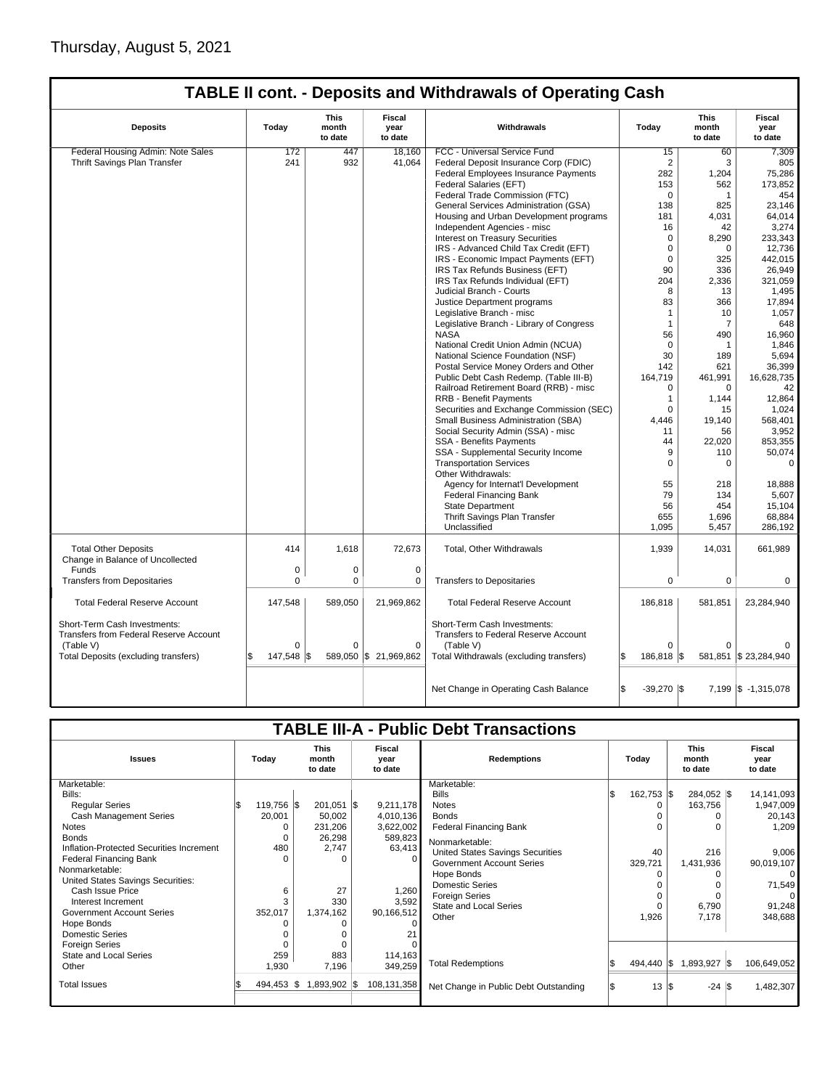|                                                                        |                                                                                      |             |                       | <b>TABLE II cont. - Deposits and Withdrawals of Operating Cash</b>   |                            |              |                      |  |       |                                 |                           |
|------------------------------------------------------------------------|--------------------------------------------------------------------------------------|-------------|-----------------------|----------------------------------------------------------------------|----------------------------|--------------|----------------------|--|-------|---------------------------------|---------------------------|
| <b>Deposits</b>                                                        | <b>This</b><br>Fiscal<br>Withdrawals<br>Today<br>month<br>year<br>to date<br>to date |             |                       |                                                                      |                            |              |                      |  | Today | <b>This</b><br>month<br>to date | Fiscal<br>year<br>to date |
| Federal Housing Admin: Note Sales                                      | 172                                                                                  | 447         | 18,160                | FCC - Universal Service Fund                                         | 15                         | 60           | 7,309                |  |       |                                 |                           |
| Thrift Savings Plan Transfer                                           | 241                                                                                  | 932         | 41,064                | Federal Deposit Insurance Corp (FDIC)                                | $\overline{2}$             | 3            | 805                  |  |       |                                 |                           |
|                                                                        |                                                                                      |             |                       | Federal Employees Insurance Payments                                 | 282                        | 1,204        | 75,286               |  |       |                                 |                           |
|                                                                        |                                                                                      |             |                       | Federal Salaries (EFT)                                               | 153                        | 562          | 173,852              |  |       |                                 |                           |
|                                                                        |                                                                                      |             |                       | Federal Trade Commission (FTC)                                       | 0                          | $\mathbf{1}$ | 454                  |  |       |                                 |                           |
|                                                                        |                                                                                      |             |                       | General Services Administration (GSA)                                | 138                        | 825          | 23,146               |  |       |                                 |                           |
|                                                                        |                                                                                      |             |                       | Housing and Urban Development programs                               | 181                        | 4,031        | 64,014               |  |       |                                 |                           |
|                                                                        |                                                                                      |             |                       | Independent Agencies - misc                                          | 16                         | 42           | 3,274                |  |       |                                 |                           |
|                                                                        |                                                                                      |             |                       | Interest on Treasury Securities                                      | 0                          | 8,290        | 233,343              |  |       |                                 |                           |
|                                                                        |                                                                                      |             |                       | IRS - Advanced Child Tax Credit (EFT)                                | 0                          | $\mathbf 0$  | 12,736               |  |       |                                 |                           |
|                                                                        |                                                                                      |             |                       |                                                                      |                            |              |                      |  |       |                                 |                           |
|                                                                        |                                                                                      |             |                       | IRS - Economic Impact Payments (EFT)                                 | 0                          | 325          | 442,015              |  |       |                                 |                           |
|                                                                        |                                                                                      |             |                       | IRS Tax Refunds Business (EFT)                                       | 90                         | 336          | 26,949               |  |       |                                 |                           |
|                                                                        |                                                                                      |             |                       | IRS Tax Refunds Individual (EFT)                                     | 204                        | 2,336        | 321,059              |  |       |                                 |                           |
|                                                                        |                                                                                      |             |                       | Judicial Branch - Courts                                             | 8                          | 13           | 1,495                |  |       |                                 |                           |
|                                                                        |                                                                                      |             |                       | Justice Department programs                                          | 83                         | 366          | 17,894               |  |       |                                 |                           |
|                                                                        |                                                                                      |             |                       | Legislative Branch - misc                                            | $\mathbf{1}$               | 10           | 1,057                |  |       |                                 |                           |
|                                                                        |                                                                                      |             |                       | Legislative Branch - Library of Congress                             | 1                          | 7            | 648                  |  |       |                                 |                           |
|                                                                        |                                                                                      |             |                       | <b>NASA</b>                                                          | 56                         | 490          | 16,960               |  |       |                                 |                           |
|                                                                        |                                                                                      |             |                       | National Credit Union Admin (NCUA)                                   | 0                          | $\mathbf 1$  | 1,846                |  |       |                                 |                           |
|                                                                        |                                                                                      |             |                       | National Science Foundation (NSF)                                    | 30                         | 189          | 5,694                |  |       |                                 |                           |
|                                                                        |                                                                                      |             |                       | Postal Service Money Orders and Other                                | 142                        | 621          | 36,399               |  |       |                                 |                           |
|                                                                        |                                                                                      |             |                       | Public Debt Cash Redemp. (Table III-B)                               | 164,719                    | 461,991      | 16,628,735           |  |       |                                 |                           |
|                                                                        |                                                                                      |             |                       | Railroad Retirement Board (RRB) - misc                               | $\Omega$                   | $\Omega$     | 42                   |  |       |                                 |                           |
|                                                                        |                                                                                      |             |                       | RRB - Benefit Payments                                               | 1                          | 1,144        | 12,864               |  |       |                                 |                           |
|                                                                        |                                                                                      |             |                       | Securities and Exchange Commission (SEC)                             | $\Omega$                   | 15           | 1,024                |  |       |                                 |                           |
|                                                                        |                                                                                      |             |                       | Small Business Administration (SBA)                                  | 4,446                      | 19,140       | 568,401              |  |       |                                 |                           |
|                                                                        |                                                                                      |             |                       |                                                                      |                            |              |                      |  |       |                                 |                           |
|                                                                        |                                                                                      |             |                       | Social Security Admin (SSA) - misc                                   | 11                         | 56           | 3,952                |  |       |                                 |                           |
|                                                                        |                                                                                      |             |                       | SSA - Benefits Payments                                              | 44                         | 22,020       | 853,355              |  |       |                                 |                           |
|                                                                        |                                                                                      |             |                       | SSA - Supplemental Security Income                                   | 9                          | 110          | 50,074               |  |       |                                 |                           |
|                                                                        |                                                                                      |             |                       | <b>Transportation Services</b><br>Other Withdrawals:                 | $\Omega$                   | $\Omega$     | 0                    |  |       |                                 |                           |
|                                                                        |                                                                                      |             |                       | Agency for Internat'l Development                                    | 55                         | 218          | 18,888               |  |       |                                 |                           |
|                                                                        |                                                                                      |             |                       | <b>Federal Financing Bank</b>                                        | 79                         | 134          | 5,607                |  |       |                                 |                           |
|                                                                        |                                                                                      |             |                       | <b>State Department</b>                                              | 56                         | 454          | 15,104               |  |       |                                 |                           |
|                                                                        |                                                                                      |             |                       | Thrift Savings Plan Transfer                                         | 655                        | 1,696        | 68,884               |  |       |                                 |                           |
|                                                                        |                                                                                      |             |                       | Unclassified                                                         | 1,095                      | 5,457        | 286,192              |  |       |                                 |                           |
| <b>Total Other Deposits</b><br>Change in Balance of Uncollected        | 414                                                                                  | 1,618       | 72,673                | Total, Other Withdrawals                                             | 1,939                      | 14,031       | 661,989              |  |       |                                 |                           |
| Funds                                                                  | 0                                                                                    | $\mathbf 0$ | $\mathbf 0$           |                                                                      |                            |              |                      |  |       |                                 |                           |
| <b>Transfers from Depositaries</b>                                     | $\Omega$                                                                             | $\Omega$    | 0                     | <b>Transfers to Depositaries</b>                                     | $\mathbf 0$                | $\mathbf 0$  | 0                    |  |       |                                 |                           |
| <b>Total Federal Reserve Account</b>                                   | 147,548                                                                              | 589,050     | 21,969,862            | <b>Total Federal Reserve Account</b>                                 | 186,818                    | 581,851      | 23,284,940           |  |       |                                 |                           |
| Short-Term Cash Investments:<br>Transfers from Federal Reserve Account |                                                                                      |             |                       | Short-Term Cash Investments:<br>Transfers to Federal Reserve Account |                            |              |                      |  |       |                                 |                           |
| (Table V)                                                              | 0                                                                                    | $\Omega$    | $\mathbf 0$           | (Table V)                                                            | $\Omega$                   | $\Omega$     |                      |  |       |                                 |                           |
| Total Deposits (excluding transfers)                                   | 147,548                                                                              | l\$         | 589,050 \$ 21,969,862 | Total Withdrawals (excluding transfers)                              | 186.818   \$<br>S.         |              | 581,851 \$23,284,940 |  |       |                                 |                           |
|                                                                        |                                                                                      |             |                       | Net Change in Operating Cash Balance                                 | $-39,270$ $\sqrt{5}$<br>S. |              | 7,199 \$ -1,315,078  |  |       |                                 |                           |

# **TABLE III-A - Public Debt Transactions**

| <b>Issues</b>                                                                                                                                                                                                                                                                                                                                                                                                                  | Today                                    |                 | <b>This</b><br>month<br>to date                                                                                 | <b>Fiscal</b><br>vear<br>to date                                                                                          | <b>Redemptions</b>                                                                                                                                                                                                                                                                                                            |  | Today                                                                                      |  |                                                                                         |  | <b>This</b><br>month<br>to date                                                                                                  |  |  | Fiscal<br>year<br>to date |  |
|--------------------------------------------------------------------------------------------------------------------------------------------------------------------------------------------------------------------------------------------------------------------------------------------------------------------------------------------------------------------------------------------------------------------------------|------------------------------------------|-----------------|-----------------------------------------------------------------------------------------------------------------|---------------------------------------------------------------------------------------------------------------------------|-------------------------------------------------------------------------------------------------------------------------------------------------------------------------------------------------------------------------------------------------------------------------------------------------------------------------------|--|--------------------------------------------------------------------------------------------|--|-----------------------------------------------------------------------------------------|--|----------------------------------------------------------------------------------------------------------------------------------|--|--|---------------------------|--|
| Marketable:<br>Bills:<br><b>Regular Series</b><br>Cash Management Series<br>Notes<br><b>Bonds</b><br>Inflation-Protected Securities Increment<br><b>Federal Financing Bank</b><br>Nonmarketable:<br>United States Savings Securities:<br>Cash Issue Price<br>Interest Increment<br><b>Government Account Series</b><br>Hope Bonds<br><b>Domestic Series</b><br><b>Foreign Series</b><br><b>State and Local Series</b><br>Other | 119,756 \$<br>20,001<br>352,017<br>1,930 | 480<br>6<br>259 | $201,051$ \$<br>50,002<br>231,206<br>26,298<br>2,747<br>O<br>27<br>330<br>1,374,162<br>$\Omega$<br>883<br>7,196 | 9,211,178<br>4,010,136<br>3,622,002<br>589,823<br>63,413<br>0<br>1,260<br>3,592<br>90,166,512<br>21<br>114,163<br>349,259 | Marketable:<br><b>Bills</b><br><b>Notes</b><br><b>Bonds</b><br><b>Federal Financing Bank</b><br>Nonmarketable:<br>United States Savings Securities<br><b>Government Account Series</b><br>Hope Bonds<br><b>Domestic Series</b><br><b>Foreign Series</b><br><b>State and Local Series</b><br>Other<br><b>Total Redemptions</b> |  | $162,753$ $\sqrt{\$}$<br>$\Omega$<br>40<br>329,721<br>0<br>$\Omega$<br>1,926<br>494,440 \$ |  | 284,052 \$<br>163,756<br>$\Omega$<br>216<br>1,431,936<br>6,790<br>7,178<br>1,893,927 \$ |  | 14,141,093<br>1,947,009<br>20,143<br>1,209<br>9,006<br>90,019,107<br>0<br>71,549<br>$\Omega$<br>91,248<br>348,688<br>106,649,052 |  |  |                           |  |
| <b>Total Issues</b>                                                                                                                                                                                                                                                                                                                                                                                                            | $494,453$ \\$                            |                 | 1,893,902 \$                                                                                                    | 108,131,358                                                                                                               | Net Change in Public Debt Outstanding                                                                                                                                                                                                                                                                                         |  | $13 \text{ }   \text{S}$                                                                   |  | $-24$ \\$                                                                               |  | 1,482,307                                                                                                                        |  |  |                           |  |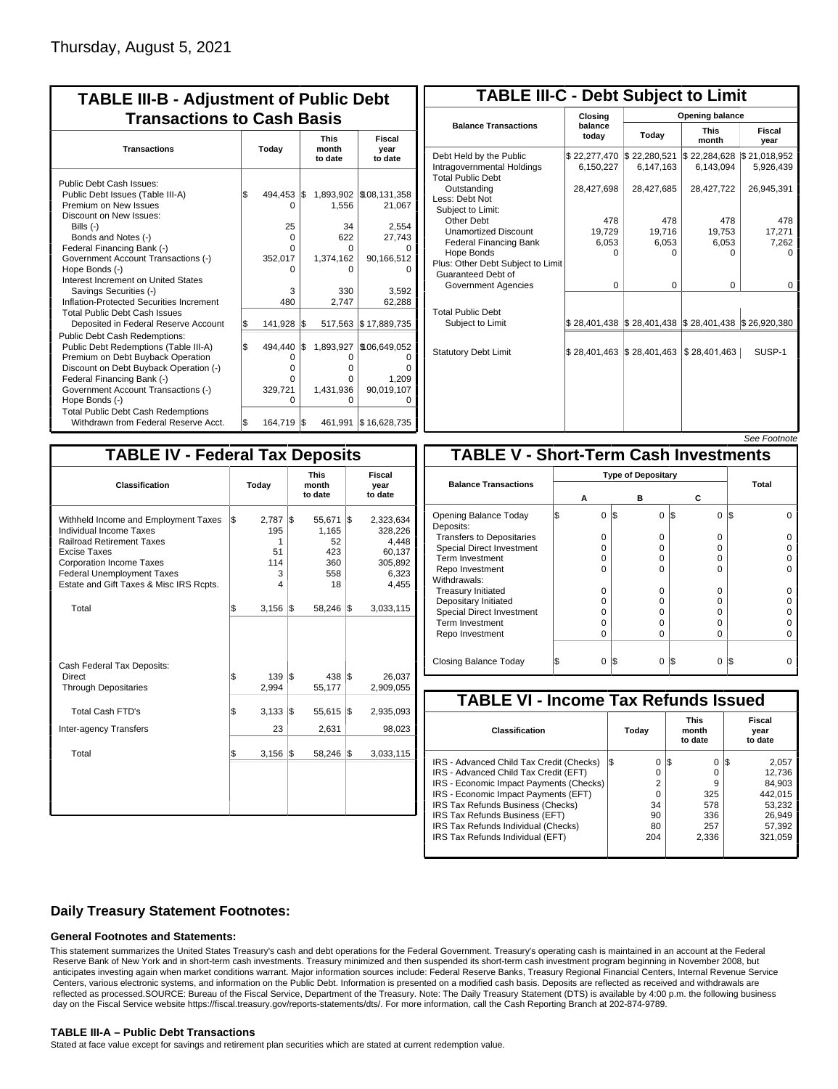| <b>TABLE III-B - Adjustment of Public Debt</b><br><b>Transactions to Cash Basis</b>                                                                                                                                                                                                                                                                                                                |           |                                                                 |            |                                                           |                                                                                        |  |  |  |  |                                 |  |  |                                  |
|----------------------------------------------------------------------------------------------------------------------------------------------------------------------------------------------------------------------------------------------------------------------------------------------------------------------------------------------------------------------------------------------------|-----------|-----------------------------------------------------------------|------------|-----------------------------------------------------------|----------------------------------------------------------------------------------------|--|--|--|--|---------------------------------|--|--|----------------------------------|
| <b>Transactions</b>                                                                                                                                                                                                                                                                                                                                                                                |           | Today                                                           |            |                                                           |                                                                                        |  |  |  |  | <b>This</b><br>month<br>to date |  |  | <b>Fiscal</b><br>year<br>to date |
| Public Debt Cash Issues:<br>Public Debt Issues (Table III-A)<br>Premium on New Issues<br>Discount on New Issues:<br>Bills $(-)$<br>Bonds and Notes (-)<br>Federal Financing Bank (-)<br>Government Account Transactions (-)<br>Hope Bonds (-)<br>Interest Increment on United States<br>Savings Securities (-)<br>Inflation-Protected Securities Increment<br><b>Total Public Debt Cash Issues</b> | \$        | 494.453<br>0<br>25<br>$\Omega$<br>O<br>352,017<br>o<br>3<br>480 | l\$        | 1,556<br>34<br>622<br>U<br>1,374,162<br>o<br>330<br>2,747 | 1,893,902 \\$108,131,358<br>21,067<br>2,554<br>27,743<br>90,166,512<br>3.592<br>62,288 |  |  |  |  |                                 |  |  |                                  |
| Deposited in Federal Reserve Account<br><b>Public Debt Cash Redemptions:</b><br>Public Debt Redemptions (Table III-A)<br>Premium on Debt Buyback Operation<br>Discount on Debt Buyback Operation (-)<br>Federal Financing Bank (-)<br>Government Account Transactions (-)<br>Hope Bonds (-)<br><b>Total Public Debt Cash Redemptions</b>                                                           | S.<br>l\$ | 141,928<br>494,440<br>0<br>$\Omega$<br>0<br>329.721<br>O        | 1\$<br>l\$ | 517,563<br>1,893,927<br>0<br>o<br>n<br>1,431,936<br>ი     | \$17,889,735<br>\$106,649,052<br>0<br>ŋ<br>1,209<br>90,019,107<br>O                    |  |  |  |  |                                 |  |  |                                  |
| Withdrawn from Federal Reserve Acct.                                                                                                                                                                                                                                                                                                                                                               | l\$       | 164,719                                                         | l\$        | 461,991                                                   | \$16,628,735                                                                           |  |  |  |  |                                 |  |  |                                  |

| <b>TABLE III-C - Debt Subject to Limit</b>                                        |                           |                                                                                                     |                           |                           |  |  |  |  |
|-----------------------------------------------------------------------------------|---------------------------|-----------------------------------------------------------------------------------------------------|---------------------------|---------------------------|--|--|--|--|
|                                                                                   | Closing                   | Opening balance                                                                                     |                           |                           |  |  |  |  |
| <b>Balance Transactions</b>                                                       | balance<br>today          | Today                                                                                               | <b>This</b><br>month      | <b>Fiscal</b><br>year     |  |  |  |  |
| Debt Held by the Public<br>Intragovernmental Holdings<br><b>Total Public Debt</b> | \$22,277,470<br>6,150,227 | \$22,280,521<br>6,147,163                                                                           | \$22,284,628<br>6.143.094 | \$21,018,952<br>5,926,439 |  |  |  |  |
| Outstanding<br>Less: Debt Not<br>Subiect to Limit:                                | 28,427,698                | 28,427,685                                                                                          | 28,427,722                | 26,945,391                |  |  |  |  |
| Other Debt                                                                        | 478                       | 478                                                                                                 | 478                       | 478                       |  |  |  |  |
| <b>Unamortized Discount</b>                                                       | 19,729                    | 19,716                                                                                              | 19,753                    | 17,271                    |  |  |  |  |
| <b>Federal Financing Bank</b>                                                     | 6,053                     | 6,053                                                                                               | 6,053                     | 7,262                     |  |  |  |  |
| Hope Bonds<br>Plus: Other Debt Subject to Limit<br>Guaranteed Debt of             | 0                         | O                                                                                                   | 0                         | o                         |  |  |  |  |
| Government Agencies                                                               | $\Omega$                  | $\Omega$                                                                                            | $\Omega$                  | 0                         |  |  |  |  |
| <b>Total Public Debt</b><br>Subject to Limit                                      |                           | $\frac{1}{2}$ 28,401,438 $\frac{1}{2}$ 28,401,438 $\frac{1}{2}$ 28,401,438 $\frac{1}{2}$ 26,920,380 |                           |                           |  |  |  |  |
| <b>Statutory Debt Limit</b>                                                       | \$28,401,463 \$28,401,463 |                                                                                                     | \$28,401,463              | SUSP-1                    |  |  |  |  |
|                                                                                   |                           |                                                                                                     |                           |                           |  |  |  |  |

| See Footnote |
|--------------|
|--------------|

| <b>TABLE IV - Federal Tax Deposits</b>                                                                                                                                                                                                        |     |                                          |     |                                                  |     |                                                                      |
|-----------------------------------------------------------------------------------------------------------------------------------------------------------------------------------------------------------------------------------------------|-----|------------------------------------------|-----|--------------------------------------------------|-----|----------------------------------------------------------------------|
| Classification                                                                                                                                                                                                                                |     | Today                                    |     | <b>This</b><br>month<br>to date                  |     | Fiscal<br>year<br>to date                                            |
| Withheld Income and Employment Taxes<br>Individual Income Taxes<br><b>Railroad Retirement Taxes</b><br><b>Excise Taxes</b><br><b>Corporation Income Taxes</b><br><b>Federal Unemployment Taxes</b><br>Estate and Gift Taxes & Misc IRS Rcpts. | l\$ | 2,787<br>195<br>1<br>51<br>114<br>3<br>4 | 1\$ | 55,671<br>1,165<br>52<br>423<br>360<br>558<br>18 | 1\$ | 2,323,634<br>328,226<br>4,448<br>60,137<br>305,892<br>6,323<br>4,455 |
| Total                                                                                                                                                                                                                                         | l\$ | $3,156$ \\$                              |     | 58,246 \$                                        |     | 3,033,115                                                            |
| Cash Federal Tax Deposits:<br>Direct<br><b>Through Depositaries</b>                                                                                                                                                                           | \$  | $139$ $\sqrt{5}$<br>2,994                |     | 438<br>55,177                                    | l\$ | 26.037<br>2,909,055                                                  |
| <b>Total Cash FTD's</b>                                                                                                                                                                                                                       | \$  | 3,133                                    | l\$ | 55,615                                           | 1\$ | 2,935,093                                                            |
| <b>Inter-agency Transfers</b>                                                                                                                                                                                                                 |     | 23                                       |     | 2,631                                            |     | 98,023                                                               |
| Total                                                                                                                                                                                                                                         | \$  | 3,156                                    | 1\$ | 58,246                                           | 1\$ | 3,033,115                                                            |
|                                                                                                                                                                                                                                               |     |                                          |     |                                                  |     |                                                                      |

|                                              |                |                           |               | зее гоополе |  |  |  |  |  |
|----------------------------------------------|----------------|---------------------------|---------------|-------------|--|--|--|--|--|
| <b>TABLE V - Short-Term Cash Investments</b> |                |                           |               |             |  |  |  |  |  |
|                                              |                | <b>Type of Depositary</b> |               |             |  |  |  |  |  |
| <b>Balance Transactions</b>                  | А              | в                         | С             | Total       |  |  |  |  |  |
|                                              |                |                           |               |             |  |  |  |  |  |
| Opening Balance Today<br>Deposits:           | $\Omega$<br>S  | 1\$<br>0                  | S<br>0        | S<br>ŋ      |  |  |  |  |  |
| <b>Transfers to Depositaries</b>             | $\Omega$       | $\Omega$                  | $\Omega$      |             |  |  |  |  |  |
| <b>Special Direct Investment</b>             | 0              | 0                         | 0             |             |  |  |  |  |  |
| Term Investment                              | $\Omega$       | $\Omega$                  | $\Omega$      |             |  |  |  |  |  |
| Repo Investment                              | $\Omega$       | $\Omega$                  | 0             |             |  |  |  |  |  |
| Withdrawals:                                 |                |                           |               |             |  |  |  |  |  |
| <b>Treasury Initiated</b>                    | $\Omega$       | $\Omega$                  | $\Omega$      |             |  |  |  |  |  |
| Depositary Initiated                         | 0              | 0                         | 0             |             |  |  |  |  |  |
| Special Direct Investment                    | 0              | O                         | 0             |             |  |  |  |  |  |
| <b>Term Investment</b>                       | $\Omega$       | $\Omega$                  | $\Omega$      |             |  |  |  |  |  |
| Repo Investment                              | $\Omega$       | $\Omega$                  | $\Omega$      | 0           |  |  |  |  |  |
|                                              |                |                           |               |             |  |  |  |  |  |
| Closing Balance Today                        | \$<br>$\Omega$ | I\$<br>$\Omega$           | S<br>$\Omega$ | l\$         |  |  |  |  |  |

| <b>TABLE VI - Income Tax Refunds Issued</b> |     |       |    |                                 |     |                           |  |  |  |  |
|---------------------------------------------|-----|-------|----|---------------------------------|-----|---------------------------|--|--|--|--|
| Classification                              |     | Today |    | <b>This</b><br>month<br>to date |     | Fiscal<br>year<br>to date |  |  |  |  |
| IRS - Advanced Child Tax Credit (Checks)    | I\$ | 0     | 13 | 0                               | 135 | 2,057                     |  |  |  |  |
| IRS - Advanced Child Tax Credit (EFT)       |     | 0     |    | 0                               |     | 12,736                    |  |  |  |  |
| IRS - Economic Impact Payments (Checks)     |     | 2     |    | 9                               |     | 84.903                    |  |  |  |  |
| IRS - Economic Impact Payments (EFT)        |     | 0     |    | 325                             |     | 442.015                   |  |  |  |  |
| IRS Tax Refunds Business (Checks)           |     | 34    |    | 578                             |     | 53.232                    |  |  |  |  |
| IRS Tax Refunds Business (EFT)              |     | 90    |    | 336                             |     | 26.949                    |  |  |  |  |
| IRS Tax Refunds Individual (Checks)         |     | 80    |    | 257                             |     | 57.392                    |  |  |  |  |
| IRS Tax Refunds Individual (EFT)            |     | 204   |    | 2,336                           |     | 321,059                   |  |  |  |  |
|                                             |     |       |    |                                 |     |                           |  |  |  |  |

## **Daily Treasury Statement Footnotes:**

### **General Footnotes and Statements:**

This statement summarizes the United States Treasury's cash and debt operations for the Federal Government. Treasury's operating cash is maintained in an account at the Federal Reserve Bank of New York and in short-term cash investments. Treasury minimized and then suspended its short-term cash investment program beginning in November 2008, but anticipates investing again when market conditions warrant. Major information sources include: Federal Reserve Banks, Treasury Regional Financial Centers, Internal Revenue Service Centers, various electronic systems, and information on the Public Debt. Information is presented on a modified cash basis. Deposits are reflected as received and withdrawals are reflected as processed.SOURCE: Bureau of the Fiscal Service, Department of the Treasury. Note: The Daily Treasury Statement (DTS) is available by 4:00 p.m. the following business day on the Fiscal Service website https://fiscal.treasury.gov/reports-statements/dts/. For more information, call the Cash Reporting Branch at 202-874-9789.

### **TABLE III-A – Public Debt Transactions**

Stated at face value except for savings and retirement plan securities which are stated at current redemption value.